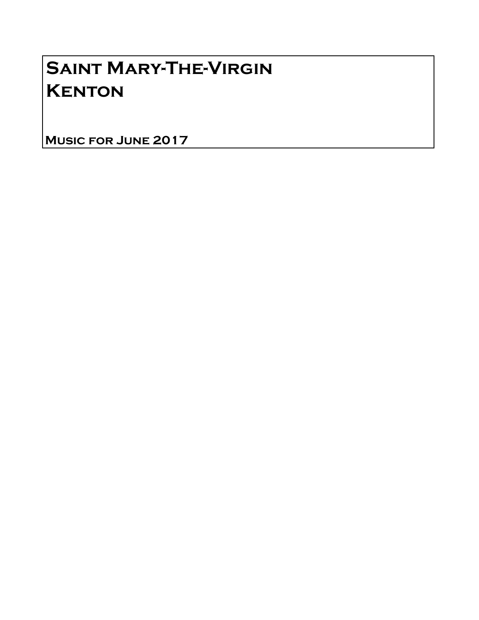## Saint Mary-The-Virgin **KENTON**

Music for June 2017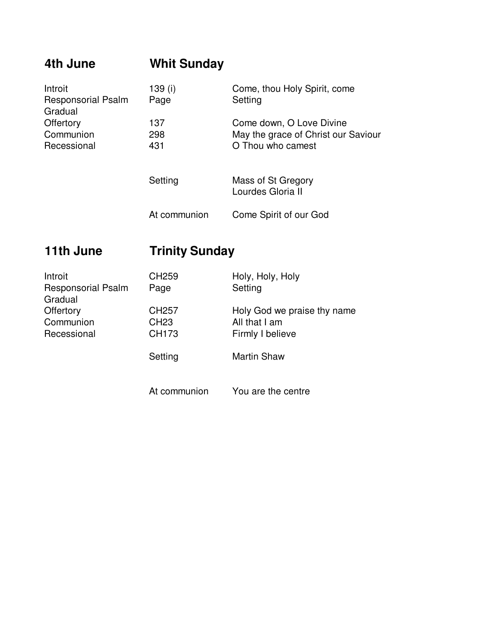| 4th June                                        | <b>Whit Sunday</b>                        |                                                                                      |
|-------------------------------------------------|-------------------------------------------|--------------------------------------------------------------------------------------|
| Introit<br><b>Responsorial Psalm</b><br>Gradual | 139 (i)<br>Page                           | Come, thou Holy Spirit, come<br>Setting                                              |
| <b>Offertory</b><br>Communion<br>Recessional    | 137<br>298<br>431                         | Come down, O Love Divine<br>May the grace of Christ our Saviour<br>O Thou who camest |
|                                                 | Setting                                   | Mass of St Gregory<br>Lourdes Gloria II                                              |
|                                                 | At communion                              | Come Spirit of our God                                                               |
| 11th June                                       | <b>Trinity Sunday</b>                     |                                                                                      |
| Introit<br><b>Responsorial Psalm</b><br>Gradual | CH <sub>259</sub><br>Page                 | Holy, Holy, Holy<br>Setting                                                          |
| Offertory<br>Communion<br>Recessional           | CH <sub>257</sub><br><b>CH23</b><br>CH173 | Holy God we praise thy name<br>All that I am<br>Firmly I believe                     |

Setting **Martin Shaw** 

At communion You are the centre